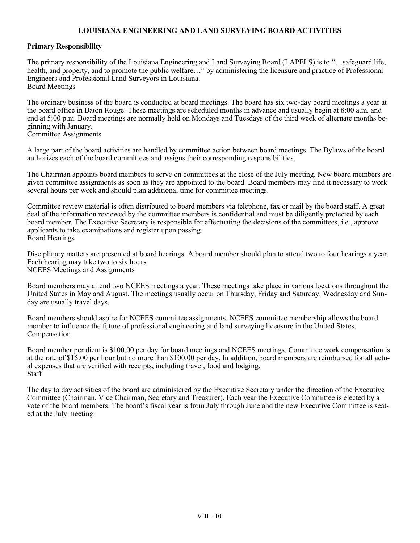## **LOUISIANA ENGINEERING AND LAND SURVEYING BOARD ACTIVITIES**

## **Primary Responsibility**

The primary responsibility of the Louisiana Engineering and Land Surveying Board (LAPELS) is to "…safeguard life, health, and property, and to promote the public welfare…" by administering the licensure and practice of Professional Engineers and Professional Land Surveyors in Louisiana. Board Meetings

The ordinary business of the board is conducted at board meetings. The board has six two-day board meetings a year at the board office in Baton Rouge. These meetings are scheduled months in advance and usually begin at 8:00 a.m. and end at 5:00 p.m. Board meetings are normally held on Mondays and Tuesdays of the third week of alternate months beginning with January.

Committee Assignments

A large part of the board activities are handled by committee action between board meetings. The Bylaws of the board authorizes each of the board committees and assigns their corresponding responsibilities.

The Chairman appoints board members to serve on committees at the close of the July meeting. New board members are given committee assignments as soon as they are appointed to the board. Board members may find it necessary to work several hours per week and should plan additional time for committee meetings.

Committee review material is often distributed to board members via telephone, fax or mail by the board staff. A great deal of the information reviewed by the committee members is confidential and must be diligently protected by each board member. The Executive Secretary is responsible for effectuating the decisions of the committees, i.e., approve applicants to take examinations and register upon passing. Board Hearings

Disciplinary matters are presented at board hearings. A board member should plan to attend two to four hearings a year. Each hearing may take two to six hours. NCEES Meetings and Assignments

Board members may attend two NCEES meetings a year. These meetings take place in various locations throughout the United States in May and August. The meetings usually occur on Thursday, Friday and Saturday. Wednesday and Sunday are usually travel days.

Board members should aspire for NCEES committee assignments. NCEES committee membership allows the board member to influence the future of professional engineering and land surveying licensure in the United States. Compensation

Board member per diem is \$100.00 per day for board meetings and NCEES meetings. Committee work compensation is at the rate of \$15.00 per hour but no more than \$100.00 per day. In addition, board members are reimbursed for all actual expenses that are verified with receipts, including travel, food and lodging. **Staff** 

The day to day activities of the board are administered by the Executive Secretary under the direction of the Executive Committee (Chairman, Vice Chairman, Secretary and Treasurer). Each year the Executive Committee is elected by a vote of the board members. The board's fiscal year is from July through June and the new Executive Committee is seated at the July meeting.